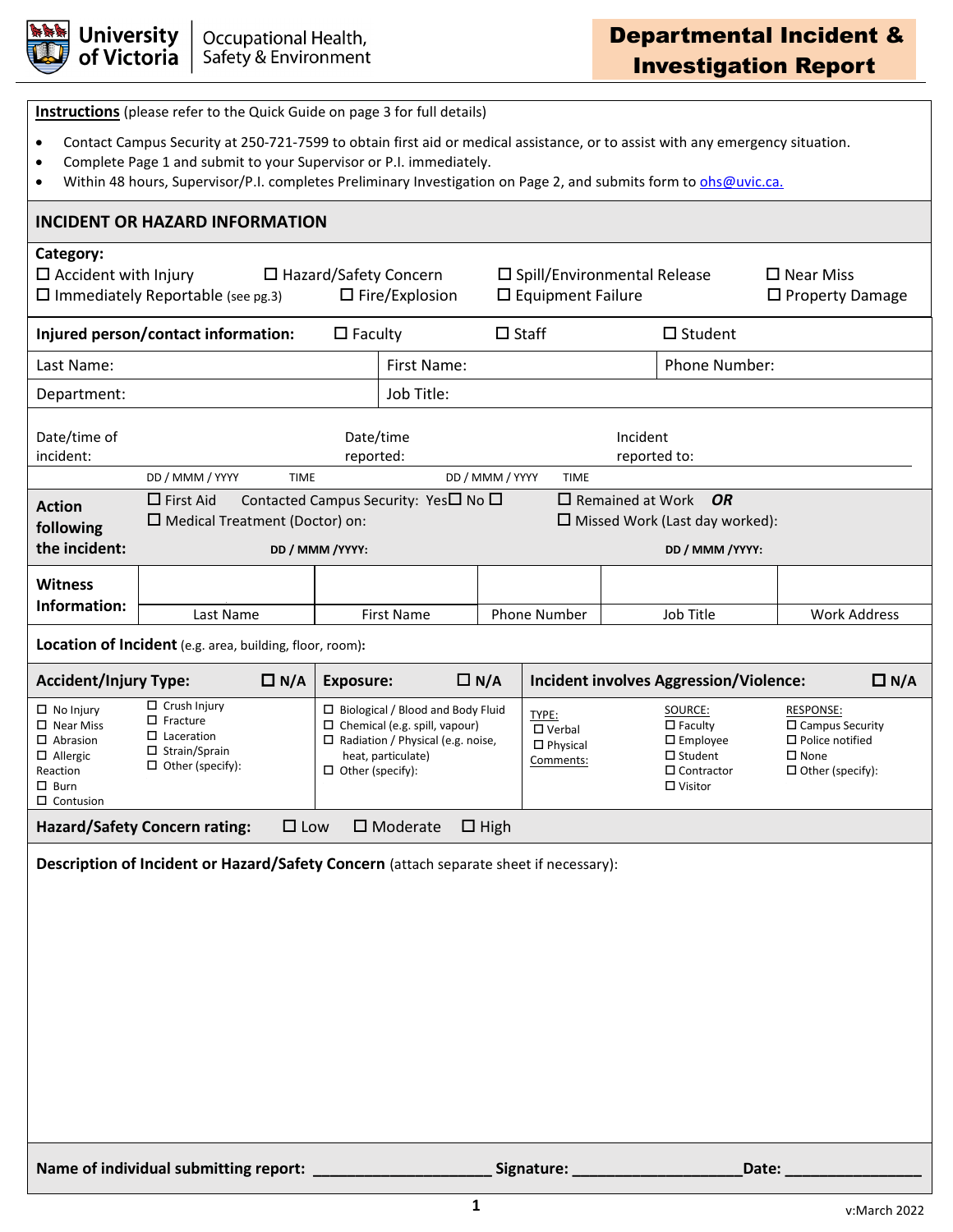

| <b>Instructions</b> (please refer to the Quick Guide on page 3 for full details)                                                                                                                                                                                                                                                                               |                                                                                                                |                                                       |                          |                                                                                                                                                    |                 |                                                        |                         |                                                                                                          |                        |                                                                                             |  |
|----------------------------------------------------------------------------------------------------------------------------------------------------------------------------------------------------------------------------------------------------------------------------------------------------------------------------------------------------------------|----------------------------------------------------------------------------------------------------------------|-------------------------------------------------------|--------------------------|----------------------------------------------------------------------------------------------------------------------------------------------------|-----------------|--------------------------------------------------------|-------------------------|----------------------------------------------------------------------------------------------------------|------------------------|---------------------------------------------------------------------------------------------|--|
| Contact Campus Security at 250-721-7599 to obtain first aid or medical assistance, or to assist with any emergency situation.<br>$\bullet$<br>Complete Page 1 and submit to your Supervisor or P.I. immediately.<br>$\bullet$<br>Within 48 hours, Supervisor/P.I. completes Preliminary Investigation on Page 2, and submits form to ohs@uvic.ca.<br>$\bullet$ |                                                                                                                |                                                       |                          |                                                                                                                                                    |                 |                                                        |                         |                                                                                                          |                        |                                                                                             |  |
| <b>INCIDENT OR HAZARD INFORMATION</b>                                                                                                                                                                                                                                                                                                                          |                                                                                                                |                                                       |                          |                                                                                                                                                    |                 |                                                        |                         |                                                                                                          |                        |                                                                                             |  |
| Category:<br>$\Box$ Accident with Injury                                                                                                                                                                                                                                                                                                                       | $\square$ Immediately Reportable (see pg.3)                                                                    | $\Box$ Hazard/Safety Concern<br>$\Box$ Fire/Explosion |                          | $\square$ Spill/Environmental Release<br>$\square$ Equipment Failure                                                                               |                 |                                                        |                         | $\square$ Near Miss                                                                                      | $\Box$ Property Damage |                                                                                             |  |
| Injured person/contact information:                                                                                                                                                                                                                                                                                                                            |                                                                                                                |                                                       | $\Box$ Faculty           |                                                                                                                                                    | $\Box$ Staff    |                                                        |                         | $\Box$ Student                                                                                           |                        |                                                                                             |  |
| Last Name:                                                                                                                                                                                                                                                                                                                                                     |                                                                                                                |                                                       |                          | First Name:                                                                                                                                        |                 |                                                        |                         | Phone Number:                                                                                            |                        |                                                                                             |  |
| Department:                                                                                                                                                                                                                                                                                                                                                    |                                                                                                                |                                                       |                          | Job Title:                                                                                                                                         |                 |                                                        |                         |                                                                                                          |                        |                                                                                             |  |
| Date/time of<br>incident:                                                                                                                                                                                                                                                                                                                                      | Date/time<br>reported:                                                                                         |                                                       | Incident<br>reported to: |                                                                                                                                                    |                 |                                                        |                         |                                                                                                          |                        |                                                                                             |  |
|                                                                                                                                                                                                                                                                                                                                                                | DD / MMM / YYYY<br>$\Box$ First Aid                                                                            | <b>TIME</b>                                           |                          | Contacted Campus Security: Yes□ No □                                                                                                               | DD / MMM / YYYY | <b>TIME</b>                                            | $\Box$ Remained at Work | OR                                                                                                       |                        |                                                                                             |  |
| <b>Action</b><br>following                                                                                                                                                                                                                                                                                                                                     | □ Medical Treatment (Doctor) on:                                                                               |                                                       |                          |                                                                                                                                                    |                 |                                                        |                         | $\Box$ Missed Work (Last day worked):                                                                    |                        |                                                                                             |  |
| the incident:                                                                                                                                                                                                                                                                                                                                                  | DD / MMM / YYYY:                                                                                               |                                                       |                          |                                                                                                                                                    |                 |                                                        |                         | DD / MMM / YYYY:                                                                                         |                        |                                                                                             |  |
| <b>Witness</b>                                                                                                                                                                                                                                                                                                                                                 |                                                                                                                |                                                       |                          |                                                                                                                                                    |                 |                                                        |                         |                                                                                                          |                        |                                                                                             |  |
| Information:                                                                                                                                                                                                                                                                                                                                                   | Last Name                                                                                                      |                                                       | <b>First Name</b>        |                                                                                                                                                    |                 | <b>Phone Number</b>                                    |                         | Job Title                                                                                                |                        | <b>Work Address</b>                                                                         |  |
| Location of Incident (e.g. area, building, floor, room):                                                                                                                                                                                                                                                                                                       |                                                                                                                |                                                       |                          |                                                                                                                                                    |                 |                                                        |                         |                                                                                                          |                        |                                                                                             |  |
|                                                                                                                                                                                                                                                                                                                                                                |                                                                                                                |                                                       |                          |                                                                                                                                                    |                 |                                                        |                         |                                                                                                          |                        |                                                                                             |  |
| <b>Accident/Injury Type:</b>                                                                                                                                                                                                                                                                                                                                   |                                                                                                                | $\Box N/A$                                            | <b>Exposure:</b>         |                                                                                                                                                    | $\Box N/A$      |                                                        |                         | <b>Incident involves Aggression/Violence:</b>                                                            |                        | $\Box N/A$                                                                                  |  |
| $\Box$ No Injury<br>$\square$ Near Miss<br>$\Box$ Abrasion<br>$\Box$ Allergic<br>Reaction<br>$\square$ Burn<br>$\Box$ Contusion                                                                                                                                                                                                                                | $\Box$ Crush Injury<br>$\Box$ Fracture<br>$\Box$ Laceration<br>$\Box$ Strain/Sprain<br>$\Box$ Other (specify): |                                                       | $\Box$ Other (specify):  | $\Box$ Biological / Blood and Body Fluid<br>$\Box$ Chemical (e.g. spill, vapour)<br>$\Box$ Radiation / Physical (e.g. noise,<br>heat, particulate) |                 | TYPE:<br>$\Box$ Verbal<br>$\Box$ Physical<br>Comments: |                         | SOURCE:<br>$\Box$ Faculty<br>$\square$ Employee<br>$\Box$ Student<br>$\Box$ Contractor<br>$\Box$ Visitor | $\square$ None         | RESPONSE:<br>$\Box$ Campus Security<br>$\square$ Police notified<br>$\Box$ Other (specify): |  |
|                                                                                                                                                                                                                                                                                                                                                                | <b>Hazard/Safety Concern rating:</b>                                                                           | $\square$ Low                                         |                          | $\square$ Moderate                                                                                                                                 | $\Box$ High     |                                                        |                         |                                                                                                          |                        |                                                                                             |  |
|                                                                                                                                                                                                                                                                                                                                                                | Description of Incident or Hazard/Safety Concern (attach separate sheet if necessary):                         |                                                       |                          |                                                                                                                                                    |                 |                                                        |                         |                                                                                                          |                        |                                                                                             |  |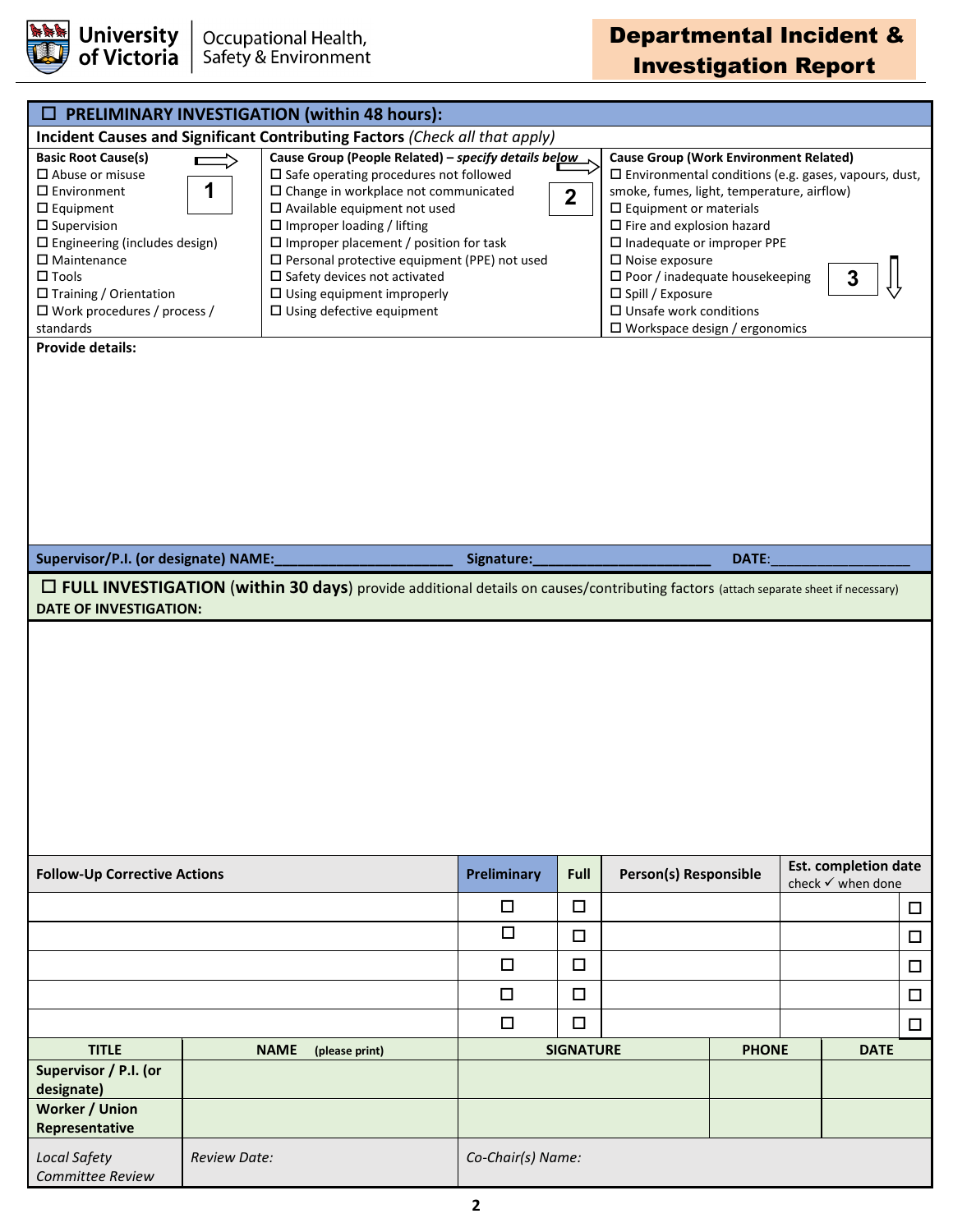

## Departmental Incident & Investigation Report

|                                                                                                                                                                                                                                                                                                                                |                     |             | PRELIMINARY INVESTIGATION (within 48 hours):                                                                                                                                                                                                                                                                                                                                                                                                                               |                   |                  |                                                                                                                                                                                                                                                                                                                                                                                                                                                               |              |                                                  |             |        |
|--------------------------------------------------------------------------------------------------------------------------------------------------------------------------------------------------------------------------------------------------------------------------------------------------------------------------------|---------------------|-------------|----------------------------------------------------------------------------------------------------------------------------------------------------------------------------------------------------------------------------------------------------------------------------------------------------------------------------------------------------------------------------------------------------------------------------------------------------------------------------|-------------------|------------------|---------------------------------------------------------------------------------------------------------------------------------------------------------------------------------------------------------------------------------------------------------------------------------------------------------------------------------------------------------------------------------------------------------------------------------------------------------------|--------------|--------------------------------------------------|-------------|--------|
| Incident Causes and Significant Contributing Factors (Check all that apply)                                                                                                                                                                                                                                                    |                     |             |                                                                                                                                                                                                                                                                                                                                                                                                                                                                            |                   |                  |                                                                                                                                                                                                                                                                                                                                                                                                                                                               |              |                                                  |             |        |
| <b>Basic Root Cause(s)</b><br>$\square$ Abuse or misuse<br>$\square$ Environment<br>$\Box$ Equipment<br>$\square$ Supervision<br>$\square$ Engineering (includes design)<br>$\square$ Maintenance<br>$\square$ Tools<br>□ Training / Orientation<br>$\Box$ Work procedures / process /<br>standards<br><b>Provide details:</b> | 1                   |             | Cause Group (People Related) - specify details below<br>$\square$ Safe operating procedures not followed<br>$\square$ Change in workplace not communicated<br>$\Box$ Available equipment not used<br>$\square$ Improper loading / lifting<br>$\square$ Improper placement / position for task<br>$\square$ Personal protective equipment (PPE) not used<br>$\square$ Safety devices not activated<br>$\Box$ Using equipment improperly<br>$\Box$ Using defective equipment |                   | $\mathbf{2}$     | <b>Cause Group (Work Environment Related)</b><br>$\square$ Environmental conditions (e.g. gases, vapours, dust,<br>smoke, fumes, light, temperature, airflow)<br>$\square$ Equipment or materials<br>$\square$ Fire and explosion hazard<br>$\square$ Inadequate or improper PPE<br>$\square$ Noise exposure<br>$\square$ Poor / inadequate housekeeping<br>□ Spill / Exposure<br>$\square$ Unsafe work conditions<br>$\square$ Workspace design / ergonomics |              |                                                  |             |        |
| Supervisor/P.I. (or designate) NAME:                                                                                                                                                                                                                                                                                           |                     |             |                                                                                                                                                                                                                                                                                                                                                                                                                                                                            | Signature:        |                  | DATE:                                                                                                                                                                                                                                                                                                                                                                                                                                                         |              |                                                  |             |        |
| $\Box$ FULL INVESTIGATION (within 30 days) provide additional details on causes/contributing factors (attach separate sheet if necessary)<br><b>DATE OF INVESTIGATION:</b>                                                                                                                                                     |                     |             |                                                                                                                                                                                                                                                                                                                                                                                                                                                                            |                   |                  |                                                                                                                                                                                                                                                                                                                                                                                                                                                               |              |                                                  |             |        |
|                                                                                                                                                                                                                                                                                                                                |                     |             |                                                                                                                                                                                                                                                                                                                                                                                                                                                                            |                   |                  |                                                                                                                                                                                                                                                                                                                                                                                                                                                               |              |                                                  |             |        |
| <b>Follow-Up Corrective Actions</b>                                                                                                                                                                                                                                                                                            |                     |             |                                                                                                                                                                                                                                                                                                                                                                                                                                                                            | Preliminary       | Full             | Person(s) Responsible                                                                                                                                                                                                                                                                                                                                                                                                                                         |              | <b>Est. completion date</b><br>check √ when done |             |        |
|                                                                                                                                                                                                                                                                                                                                |                     |             |                                                                                                                                                                                                                                                                                                                                                                                                                                                                            | □                 | $\Box$           |                                                                                                                                                                                                                                                                                                                                                                                                                                                               |              |                                                  |             | $\Box$ |
|                                                                                                                                                                                                                                                                                                                                |                     |             |                                                                                                                                                                                                                                                                                                                                                                                                                                                                            | $\Box$            | $\Box$           |                                                                                                                                                                                                                                                                                                                                                                                                                                                               |              |                                                  |             | □      |
|                                                                                                                                                                                                                                                                                                                                |                     |             | $\Box$                                                                                                                                                                                                                                                                                                                                                                                                                                                                     | $\Box$            |                  |                                                                                                                                                                                                                                                                                                                                                                                                                                                               |              |                                                  | $\Box$      |        |
|                                                                                                                                                                                                                                                                                                                                |                     |             | $\Box$                                                                                                                                                                                                                                                                                                                                                                                                                                                                     | $\Box$            |                  |                                                                                                                                                                                                                                                                                                                                                                                                                                                               |              |                                                  | □           |        |
|                                                                                                                                                                                                                                                                                                                                |                     |             |                                                                                                                                                                                                                                                                                                                                                                                                                                                                            | $\Box$            | $\Box$           |                                                                                                                                                                                                                                                                                                                                                                                                                                                               |              |                                                  |             | 0      |
| <b>TITLE</b>                                                                                                                                                                                                                                                                                                                   |                     | <b>NAME</b> | (please print)                                                                                                                                                                                                                                                                                                                                                                                                                                                             |                   | <b>SIGNATURE</b> |                                                                                                                                                                                                                                                                                                                                                                                                                                                               | <b>PHONE</b> |                                                  | <b>DATE</b> |        |
| Supervisor / P.I. (or<br>designate)<br>Worker / Union<br>Representative                                                                                                                                                                                                                                                        |                     |             |                                                                                                                                                                                                                                                                                                                                                                                                                                                                            |                   |                  |                                                                                                                                                                                                                                                                                                                                                                                                                                                               |              |                                                  |             |        |
| Local Safety<br>Committee Review                                                                                                                                                                                                                                                                                               | <b>Review Date:</b> |             |                                                                                                                                                                                                                                                                                                                                                                                                                                                                            | Co-Chair(s) Name: |                  |                                                                                                                                                                                                                                                                                                                                                                                                                                                               |              |                                                  |             |        |